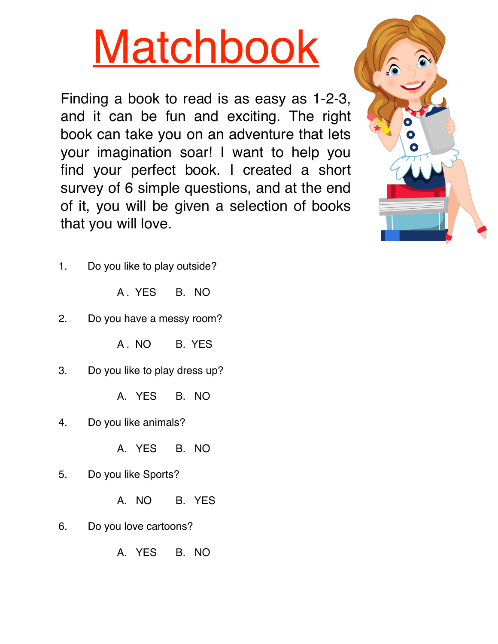# **Matchbook**

Finding a book to read is as easy as 1-2-3, and it can be fun and exciting. The right book can take you on an adventure that lets your imagination soar! I want to help you find your perfect book. I created a short survey of 6 simple questions, and at the end of it, you will be given a selection of books that you will love.



- 1. Do you like to play outside?
	- A . YES B. NO
- 2. Do you have a messy room?

A .NO B. YES

3. Do you like to play dress up?

A. YES B. NO

4. Do you like animals?

A. YES B. NO

5. Do you like Sports?

A. NO B. YES

6. Do you love cartoons?

A. YES B. NO